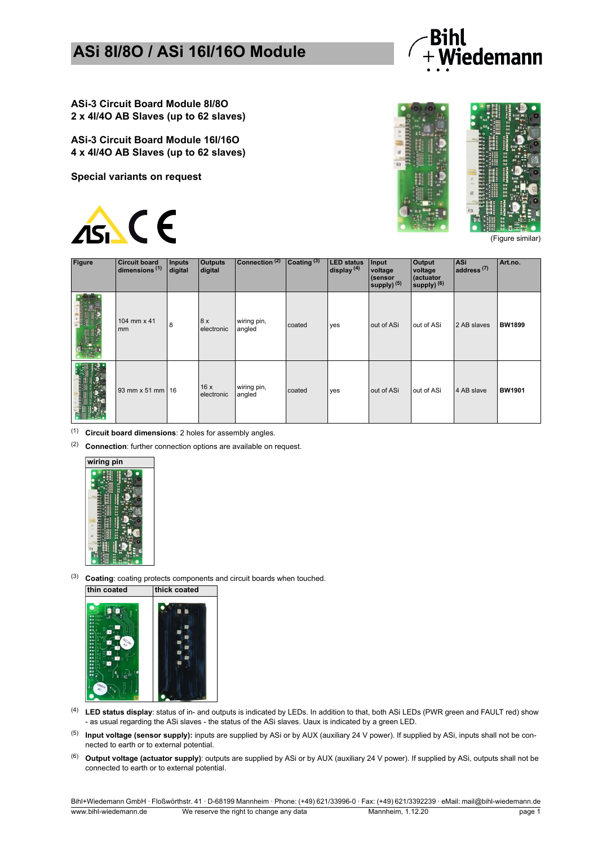

**ASi-3 Circuit Board Module 8I/8O 2 x 4I/4O AB Slaves (up to 62 slaves)**

**ASi-3 Circuit Board Module 16I/16O 4 x 4I/4O AB Slaves (up to 62 slaves)**

**Special variants on request**





(Figure similar)

| <b>Figure</b> | <b>Circuit board</b><br>dimensions <sup>(1)</sup> | Inputs<br>digital | <b>Outputs</b><br>digital | Connection <sup>(2)</sup> | Coating <sup>(3)</sup> | <b>LED</b> status<br>display $(4)$ | Input<br>voltage<br>(sensor<br>supply) $(5)$ | <b>Output</b><br>voltage<br>(actuator<br>supply) <sup>(6)</sup> | <b>ASi</b><br>$radres5$ <sup>(7)</sup> | Art.no.       |
|---------------|---------------------------------------------------|-------------------|---------------------------|---------------------------|------------------------|------------------------------------|----------------------------------------------|-----------------------------------------------------------------|----------------------------------------|---------------|
|               | 104 mm x 41<br>mm                                 | $\overline{8}$    | 8x<br>electronic          | wiring pin,<br>angled     | coated                 | yes                                | out of ASi                                   | out of ASi                                                      | 2 AB slaves                            | <b>BW1899</b> |
|               | 93 mm x 51 mm 16                                  |                   | 16x<br>electronic         | wiring pin,<br>angled     | coated                 | yes                                | out of ASi                                   | out of ASi                                                      | 4 AB slave                             | <b>BW1901</b> |

(1) **Circuit board dimensions**: 2 holes for assembly angles.

(2) **Connection**: further connection options are available on request.



(3) **Coating**: coating protects components and circuit boards when touched.



- (4) **LED status display**: status of in- and outputs is indicated by LEDs. In addition to that, both ASi LEDs (PWR green and FAULT red) show - as usual regarding the ASi slaves - the status of the ASi slaves. Uaux is indicated by a green LED.
- (5) **Input voltage (sensor supply):** inputs are supplied by ASi or by AUX (auxiliary 24 V power). If supplied by ASi, inputs shall not be connected to earth or to external potential.
- (6) **Output voltage (actuator supply)**: outputs are supplied by ASi or by AUX (auxiliary 24 V power). If supplied by ASi, outputs shall not be connected to earth or to external potential.

Bihl+Wiedemann GmbH · Floßwörthstr. 41 · D-68199 Mannheim · Phone: (+49) 621/33996-0 · Fax: (+49) 621/3392239 · eMail: mail@bihl-wiedemann.de ww.bihl-wiedemann.de We reserve the right to change any data Mannheim, 1.12.20 page 1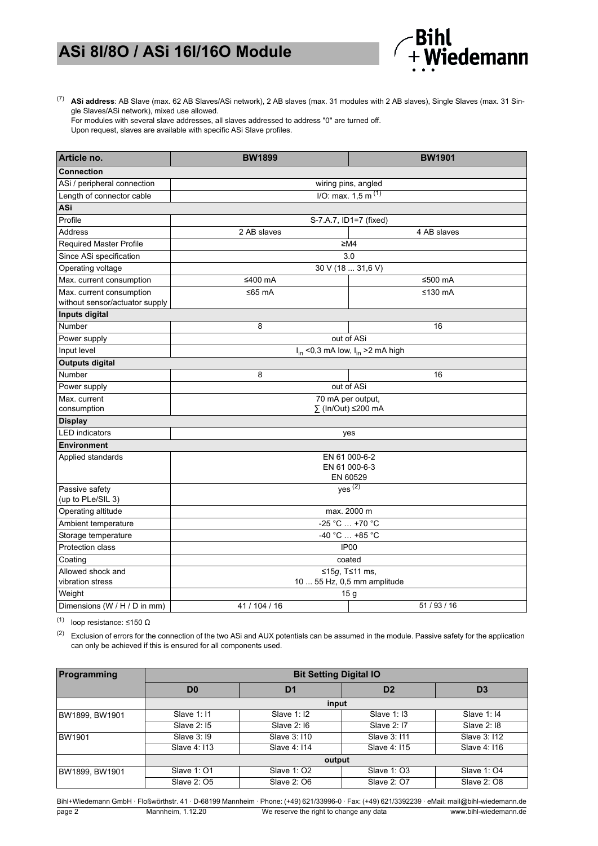

(7) **ASi address**: AB Slave (max. 62 AB Slaves/ASi network), 2 AB slaves (max. 31 modules with 2 AB slaves), Single Slaves (max. 31 Single Slaves/ASi network), mixed use allowed.

For modules with several slave addresses, all slaves addressed to address "0" are turned off. Upon request, slaves are available with specific ASi Slave profiles.

| Article no.                                                | <b>BW1899</b>                             | <b>BW1901</b>                   |  |  |  |
|------------------------------------------------------------|-------------------------------------------|---------------------------------|--|--|--|
| <b>Connection</b>                                          |                                           |                                 |  |  |  |
| ASi / peripheral connection                                |                                           | wiring pins, angled             |  |  |  |
| Length of connector cable                                  |                                           | I/O: max. 1, 5 m <sup>(1)</sup> |  |  |  |
| ASi                                                        |                                           |                                 |  |  |  |
| Profile                                                    |                                           | S-7.A.7, ID1=7 (fixed)          |  |  |  |
| <b>Address</b>                                             | 2 AB slaves                               | 4 AB slaves                     |  |  |  |
| <b>Required Master Profile</b>                             |                                           | ≥M4                             |  |  |  |
| Since ASi specification                                    |                                           | 3.0                             |  |  |  |
| Operating voltage                                          |                                           | 30 V (18  31,6 V)               |  |  |  |
| Max. current consumption                                   | ≤400 mA                                   | ≤500 mA                         |  |  |  |
| Max. current consumption<br>without sensor/actuator supply | ≤65 $mA$                                  | ≤130 mA                         |  |  |  |
| Inputs digital                                             |                                           |                                 |  |  |  |
| Number                                                     | 8                                         | 16                              |  |  |  |
| Power supply                                               |                                           | out of ASi                      |  |  |  |
| Input level                                                | $I_{in}$ <0,3 mA low, $I_{in}$ >2 mA high |                                 |  |  |  |
| <b>Outputs digital</b>                                     |                                           |                                 |  |  |  |
| Number                                                     | 8                                         | 16                              |  |  |  |
| Power supply                                               |                                           | out of ASi                      |  |  |  |
| Max. current                                               | 70 mA per output,                         |                                 |  |  |  |
| consumption                                                |                                           | ∑ (In/Out) ≤200 mA              |  |  |  |
| <b>Display</b>                                             |                                           |                                 |  |  |  |
| <b>LED</b> indicators                                      |                                           | yes                             |  |  |  |
| <b>Environment</b>                                         |                                           |                                 |  |  |  |
| Applied standards                                          | EN 61 000-6-2                             |                                 |  |  |  |
|                                                            | EN 61 000-6-3<br>EN 60529                 |                                 |  |  |  |
| Passive safety                                             | $yes^{(2)}$                               |                                 |  |  |  |
| (up to PLe/SIL 3)                                          |                                           |                                 |  |  |  |
| Operating altitude                                         |                                           | max. 2000 m                     |  |  |  |
| Ambient temperature                                        |                                           | -25 °C  +70 °C                  |  |  |  |
| Storage temperature                                        |                                           | $-40 °C  +85 °C$                |  |  |  |
| Protection class                                           |                                           | IP <sub>00</sub>                |  |  |  |
| Coating                                                    |                                           | coated                          |  |  |  |
| Allowed shock and                                          | ≤15g, T≤11 ms,                            |                                 |  |  |  |
| vibration stress                                           | 10  55 Hz, 0,5 mm amplitude               |                                 |  |  |  |
| Weight                                                     |                                           | 15 <sub>g</sub>                 |  |  |  |
| Dimensions (W / H / D in mm)                               | 51/93/16<br>41 / 104 / 16                 |                                 |  |  |  |

(1) loop resistance: ≤150  $\Omega$ 

(2) Exclusion of errors for the connection of the two ASi and AUX potentials can be assumed in the module. Passive safety for the application can only be achieved if this is ensured for all components used.

| Programming    | <b>Bit Setting Digital IO</b>          |              |                    |                |  |  |  |
|----------------|----------------------------------------|--------------|--------------------|----------------|--|--|--|
|                | D <sub>0</sub><br>D <sub>2</sub><br>D1 |              |                    | D <sub>3</sub> |  |  |  |
|                | input                                  |              |                    |                |  |  |  |
| BW1899, BW1901 | Slave 1:11                             | Slave 1: 12  | <b>Slave 1: 13</b> | Slave 1: 14    |  |  |  |
|                | Slave 2: 15                            | Slave 2: 16  | Slave 2: 17        | Slave 2: 18    |  |  |  |
| BW1901         | Slave 3: 19                            | Slave 3:110  | Slave 3: 111       | Slave 3:112    |  |  |  |
|                | Slave 4: 113                           | Slave 4: 114 | Slave 4: 115       | Slave 4: 116   |  |  |  |
|                |                                        | output       |                    |                |  |  |  |
| BW1899, BW1901 | Slave 1: 01                            | Slave 1: 02  | Slave 1: 03        | Slave 1: 04    |  |  |  |
|                | Slave 2: 05                            | Slave 2: 06  | Slave 2: 07        | Slave 2: 08    |  |  |  |

Bihl+Wiedemann GmbH · Floßwörthstr. 41 · D-68199 Mannheim · Phone: (+49) 621/33996-0 · Fax: (+49) 621/3392239 · eMail: mail@bihl-wiedemann.de page 2 Mannheim, 1.12.20 We reserve the right to change any data www.bihl-wiedemann.de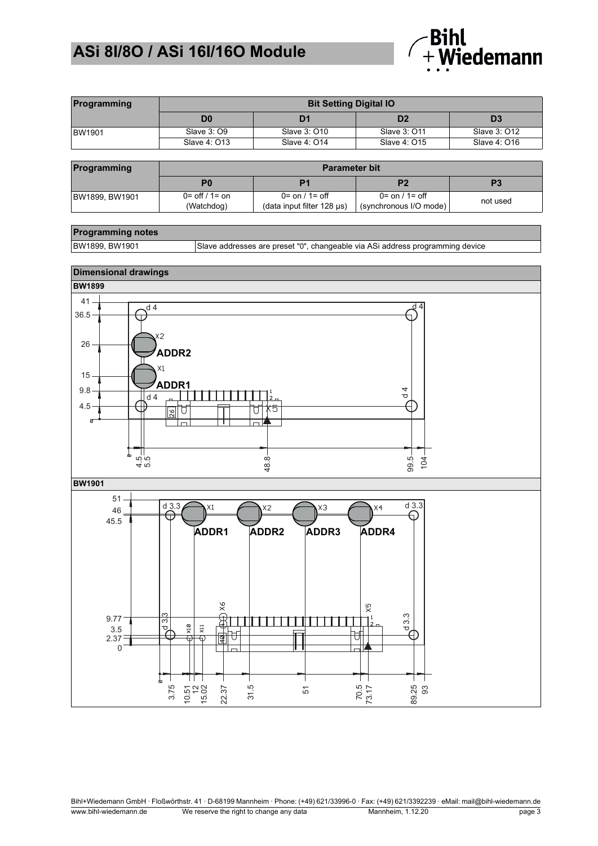

| Programming   | <b>Bit Setting Digital IO</b> |              |                |              |  |  |  |
|---------------|-------------------------------|--------------|----------------|--------------|--|--|--|
|               | D0                            | D1           | D <sub>2</sub> | D3           |  |  |  |
| <b>BW1901</b> | Slave 3: 09                   | Slave 3: 010 | Slave 3: 011   | Slave 3: 012 |  |  |  |
|               | Slave 4: 013                  | Slave 4: 014 | Slave 4: 015   | Slave 4: 016 |  |  |  |

| Programming    | <b>Parameter bit</b>                          |                                                                |                                                            |          |  |  |
|----------------|-----------------------------------------------|----------------------------------------------------------------|------------------------------------------------------------|----------|--|--|
|                |                                               |                                                                |                                                            | P3       |  |  |
| BW1899, BW1901 | $0 = \frac{off}{1} = \text{on}$<br>(Watchdog) | $0 = \text{on} / 1 = \text{off}$<br>(data input filter 128 µs) | $0 = \text{on} / 1 = \text{off}$<br>(synchronous I/O mode) | not used |  |  |

#### **Programming notes**

BW1899, BW1901 Slave addresses are preset "0", changeable via ASi address programming device



Bihl+Wiedemann GmbH ꞏ Floßwörthstr. 41 ꞏ D-68199 Mannheim ꞏ Phone: (+49) 621/33996-0 ꞏ Fax: (+49) 621/3392239 ꞏ eMail: mail@bihl-wiedemann.de www.bihl-wiedemann.de We reserve the right to change any data Mannheim, 1.12.20 page 3